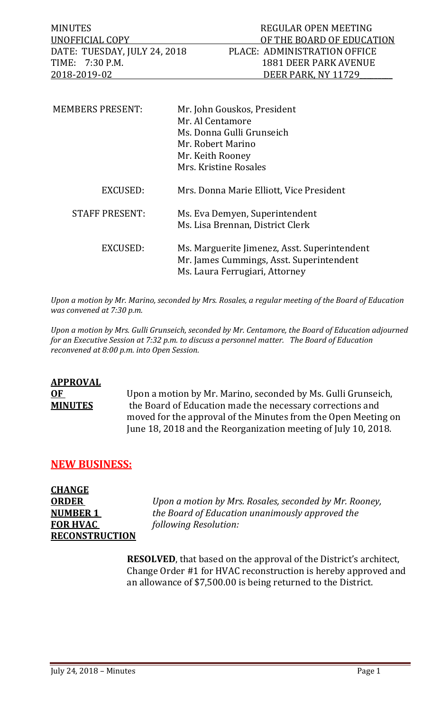MINUTES REGULAR OPEN MEETING UNOFFICIAL COPY OF THE BOARD OF EDUCATION<br>DATE: TUESDAY, JULY 24, 2018 PLACE: ADMINISTRATION OFFICE DATE: TUESDAY, JULY 24, 2018 PLACE: ADMINISTRATION OFFICE<br>TIME: 7:30 P.M. 1881 DEER PARK AVENUE TIME: 7:30 P.M. 1881 DEER PARK AVENUE<br>2018-2019-02 DEER PARK, NY 11729 DEER PARK, NY 11729

| <b>MEMBERS PRESENT:</b> | Mr. John Gouskos, President<br>Mr. Al Centamore<br>Ms. Donna Gulli Grunseich<br>Mr. Robert Marino<br>Mr. Keith Rooney<br>Mrs. Kristine Rosales |
|-------------------------|------------------------------------------------------------------------------------------------------------------------------------------------|
| EXCUSED:                | Mrs. Donna Marie Elliott, Vice President                                                                                                       |
| <b>STAFF PRESENT:</b>   | Ms. Eva Demyen, Superintendent<br>Ms. Lisa Brennan, District Clerk                                                                             |
| EXCUSED:                | Ms. Marguerite Jimenez, Asst. Superintendent<br>Mr. James Cummings, Asst. Superintendent<br>Ms. Laura Ferrugiari, Attorney                     |

*Upon a motion by Mr. Marino, seconded by Mrs. Rosales, a regular meeting of the Board of Education was convened at 7:30 p.m.*

*Upon a motion by Mrs. Gulli Grunseich, seconded by Mr. Centamore, the Board of Education adjourned for an Executive Session at 7:32 p.m. to discuss a personnel matter. The Board of Education reconvened at 8:00 p.m. into Open Session.* 

# **APPROVAL OF** Upon a motion by Mr. Marino, seconded by Ms. Gulli Grunseich,<br>**MINUTES** the Board of Education made the necessary corrections and the Board of Education made the necessary corrections and moved for the approval of the Minutes from the Open Meeting on June 18, 2018 and the Reorganization meeting of July 10, 2018.

# **NEW BUSINESS:**

**CHANGE FOR HVAC** *following Resolution:* **RECONSTRUCTION**

**ORDER** *Upon a motion by Mrs. Rosales, seconded by Mr. Rooney,* **NUMBER 1** *the Board of Education unanimously approved the* 

> **RESOLVED**, that based on the approval of the District's architect, Change Order #1 for HVAC reconstruction is hereby approved and an allowance of \$7,500.00 is being returned to the District.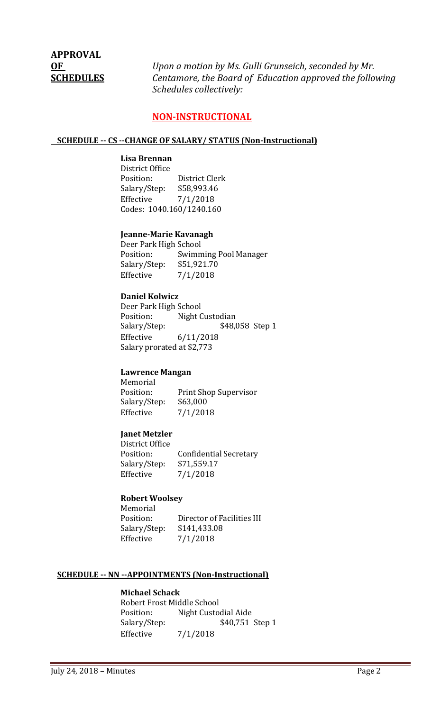# **APPROVAL**

**OF** *Upon a motion by Ms. Gulli Grunseich, seconded by Mr.* **SCHEDULES** *Centamore, the Board of Education approved the following Schedules collectively:*

# **NON-INSTRUCTIONAL**

#### **SCHEDULE -- CS --CHANGE OF SALARY/ STATUS (Non-Instructional)**

#### **Lisa Brennan**

District Office<br>Position: District Clerk<br>\$58,993.46 Salary/Step:<br>Effective  $7/1/2018$ Codes: 1040.160/1240.160

#### **Jeanne-Marie Kavanagh**

Deer Park High School<br>Position: Swimn Swimming Pool Manager<br>\$51,921.70 Salary/Step:<br>Effective  $7/1/2018$ 

#### **Daniel Kolwicz**

Deer Park High School<br>Position: Night C Position: Night Custodian<br>Salary/Step: \$48,0 \$48,058 Step 1 Effective 6/11/2018 Salary prorated at \$2,773

#### **Lawrence Mangan**

Memorial<br>Position: Print Shop Supervisor Salary/Step: \$63,000<br>Effective 7/1/201  $7/1/2018$ 

## **Janet Metzler**

District Office Confidential Secretary<br>\$71,559.17 Salary/Step:<br>Effective  $7/1/2018$ 

#### **Robert Woolsey** Momorial

| MENIOLIAI    |                            |
|--------------|----------------------------|
| Position:    | Director of Facilities III |
| Salary/Step: | \$141,433.08               |
| Effective    | 7/1/2018                   |
|              |                            |

#### **SCHEDULE -- NN --APPOINTMENTS (Non-Instructional)**

## **Michael Schack**

Robert Frost Middle School<br>Position: Night Custo Position: Night Custodial Aide<br>Salary/Step: \$40,751 \$40,751 Step 1 Effective 7/1/2018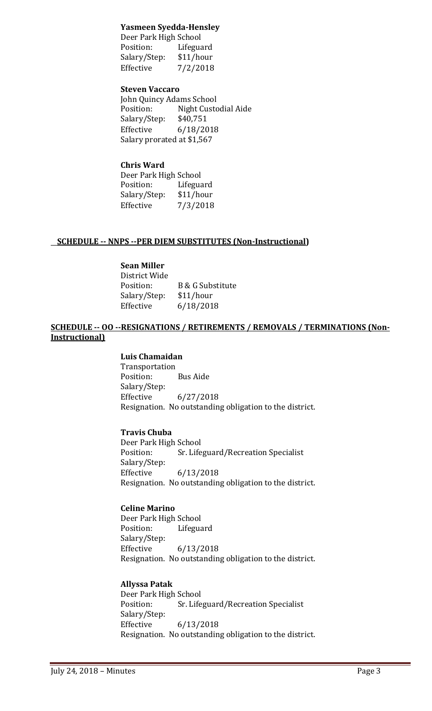## **Yasmeen Syedda-Hensley**

Deer Park High School<br>Position: Lifegua Lifeguard<br>\$11/hour Salary/Step:<br>Effective  $7/2/2018$ 

## **Steven Vaccaro**

John Quincy Adams School Night Custodial Aide<br>\$40,751 Salary/Step:<br>Effective Effective 6/18/2018 Salary prorated at \$1,567

# **Chris Ward**

| Deer Park High School |           |
|-----------------------|-----------|
| Position:             | Lifeguard |
| Salary/Step:          | \$11/hour |
| Effective             | 7/3/2018  |

## **SCHEDULE -- NNPS --PER DIEM SUBSTITUTES (Non-Instructional)**

## **Sean Miller**

| District Wide |                  |
|---------------|------------------|
| Position:     | B & G Substitute |
| Salary/Step:  | \$11/hour        |
| Effective     | 6/18/2018        |

## **SCHEDULE -- OO --RESIGNATIONS / RETIREMENTS / REMOVALS / TERMINATIONS (Non-Instructional)**

## **Luis Chamaidan**

Transportation<br>Position: **Bus Aide** Salary/Step:<br>Effective  $6/27/2018$ Resignation. No outstanding obligation to the district.

## **Travis Chuba**

Deer Park High School<br>Position: Sr. Life Sr. Lifeguard/Recreation Specialist Salary/Step:<br>Effective Effective 6/13/2018 Resignation. No outstanding obligation to the district.

## **Celine Marino**

Deer Park High School<br>Position: Lifegua Lifeguard Salary/Step: Effective 6/13/2018 Resignation. No outstanding obligation to the district.

## **Allyssa Patak**

Deer Park High School<br>Position: Sr. Life Sr. Lifeguard/Recreation Specialist Salary/Step:<br>Effective Effective 6/13/2018 Resignation. No outstanding obligation to the district.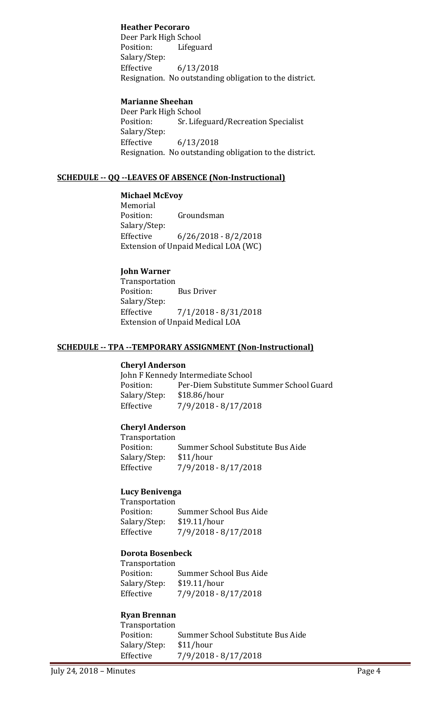## **Heather Pecoraro**

Deer Park High School<br>Position: Lifegua Lifeguard Salary/Step: Effective 6/13/2018 Resignation. No outstanding obligation to the district.

## **Marianne Sheehan**

Deer Park High School<br>Position: Sr. Life Sr. Lifeguard/Recreation Specialist Salary/Step:<br>Effective Effective 6/13/2018 Resignation. No outstanding obligation to the district.

## **SCHEDULE -- QQ --LEAVES OF ABSENCE (Non-Instructional)**

## **Michael McEvoy**

Memorial<br>Position: Groundsman Salary/Step: Effective 6/26/2018 - 8/2/2018 Extension of Unpaid Medical LOA (WC)

## **John Warner**

Transportation<br>Position: **Bus Driver** Salary/Step:  $7/1/2018 - 8/31/2018$ Extension of Unpaid Medical LOA

#### **SCHEDULE -- TPA --TEMPORARY ASSIGNMENT (Non-Instructional)**

## **Cheryl Anderson**

John F Kennedy Intermediate School<br>Position: Per-Diem Substitute ! Per-Diem Substitute Summer School Guard<br>\$18.86/hour Salary/Step:<br>Effective Effective 7/9/2018 - 8/17/2018

## **Cheryl Anderson**

Transportation Summer School Substitute Bus Aide<br>\$11/hour Salary/Step:<br>Effective Effective 7/9/2018 - 8/17/2018

## **Lucy Benivenga**

Transportation<br>Position: Summer School Bus Aide<br>\$19.11/hour Salary/Step:<br>Effective Effective 7/9/2018 - 8/17/2018

## **Dorota Bosenbeck**

Transportation Summer School Bus Aide<br>\$19.11/hour Salary/Step:<br>Effective Effective 7/9/2018 - 8/17/2018

## **Ryan Brennan**

Transportation Summer School Substitute Bus Aide<br>\$11/hour Salary/Step: Effective 7/9/2018 - 8/17/2018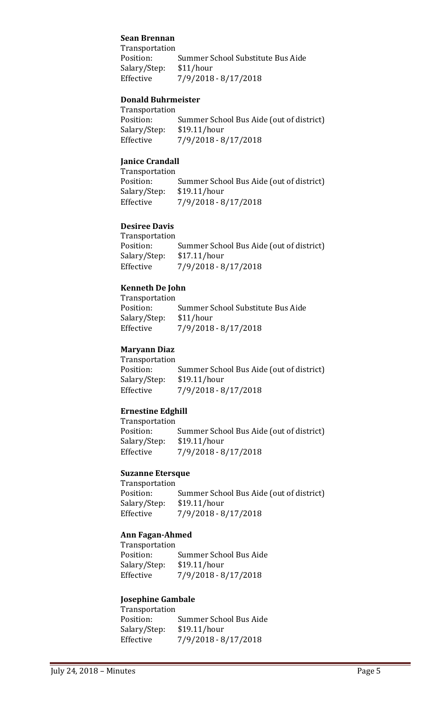## **Sean Brennan**

Transportation Summer School Substitute Bus Aide<br>\$11/hour Salary/Step:<br>Effective Effective 7/9/2018 - 8/17/2018

#### **Donald Buhrmeister**

Transportation Position: Summer School Bus Aide (out of district)<br>Salary/Step: \$19.11/hour Salary/Step: \$19.11/hour<br>Effective 7/9/2018 - 8 Effective 7/9/2018 - 8/17/2018

## **Janice Crandall**

Transportation Summer School Bus Aide (out of district)<br>\$19.11/hour Salary/Step:<br>Effective Effective 7/9/2018 - 8/17/2018

## **Desiree Davis**

| Transportation |                                          |
|----------------|------------------------------------------|
| Position:      | Summer School Bus Aide (out of district) |
| Salary/Step:   | \$17.11/hour                             |
| Effective      | 7/9/2018 - 8/17/2018                     |
|                |                                          |

## **Kenneth De John**

Transportation Summer School Substitute Bus Aide<br>\$11/hour Salary/Step:<br>Effective Effective 7/9/2018 - 8/17/2018

## **Maryann Diaz**

Transportation<br>Position: Summer School Bus Aide (out of district)<br>\$19.11/hour Salary/Step:<br>Effective Effective 7/9/2018 - 8/17/2018

## **Ernestine Edghill**

Transportation Summer School Bus Aide (out of district)<br>\$19.11/hour Salary/Step:<br>Effective Effective 7/9/2018 - 8/17/2018

## **Suzanne Etersque**

Transportation<br>Position: Summer School Bus Aide (out of district)<br>\$19.11/hour Salary/Step:<br>Effective Effective 7/9/2018 - 8/17/2018

## **Ann Fagan-Ahmed**

Transportation<br>Position: Summer School Bus Aide<br>\$19.11/hour Salary/Step:<br>Effective Effective 7/9/2018 - 8/17/2018

#### **Josephine Gambale**

| Transportation |                        |
|----------------|------------------------|
| Position:      | Summer School Bus Aide |
| Salary/Step:   | \$19.11/hour           |
| Effective      | $7/9/2018 - 8/17/2018$ |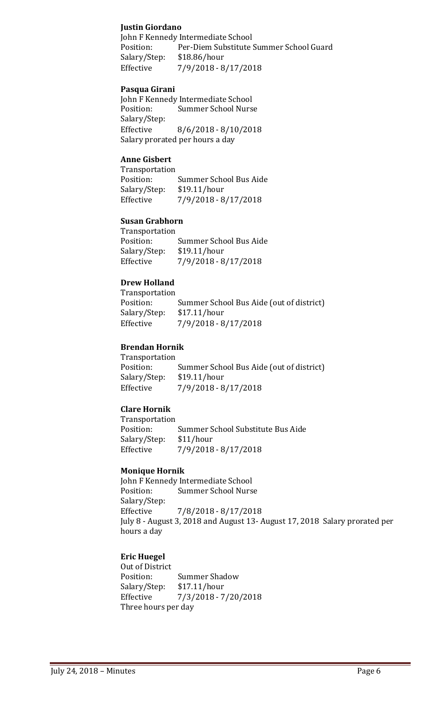## **Justin Giordano**

John F Kennedy Intermediate School<br>Position: Per-Diem Substitute ! Per-Diem Substitute Summer School Guard<br>\$18.86/hour Salary/Step: Effective 7/9/2018 - 8/17/2018

## **Pasqua Girani**

John F Kennedy Intermediate School<br>Position: Summer School Nurs **Summer School Nurse** Salary/Step:<br>Effective  $8/6/2018 - 8/10/2018$ Salary prorated per hours a day

## **Anne Gisbert**

Transportation<br>Position: Position: Summer School Bus Aide<br>Salary/Step: \$19.11/hour Salary/Step: \$19.11/hour<br>Effective 7/9/2018 - 8 Effective 7/9/2018 - 8/17/2018

# **Susan Grabhorn**

| Transportation |                        |
|----------------|------------------------|
| Position:      | Summer School Bus Aide |
| Salary/Step:   | \$19.11/hour           |
| Effective      | 7/9/2018 - 8/17/2018   |

## **Drew Holland**

Transportation<br>Position: Position: Summer School Bus Aide (out of district)<br>Salary/Step: \$17.11/hour Salary/Step: \$17.11/hour<br>Effective 7/9/2018 - 8 Effective 7/9/2018 - 8/17/2018

## **Brendan Hornik**

Transportation Summer School Bus Aide (out of district)<br>\$19.11/hour Salary/Step:<br>Effective Effective 7/9/2018 - 8/17/2018

## **Clare Hornik**

Transportation<br>Position: Summer School Substitute Bus Aide<br>\$11/hour Salary/Step:<br>Effective Effective 7/9/2018 - 8/17/2018

#### **Monique Hornik**

John F Kennedy Intermediate School<br>Position: Summer School Nurs **Summer School Nurse** Salary/Step: Effective 7/8/2018 - 8/17/2018 July 8 - August 3, 2018 and August 13- August 17, 2018 Salary prorated per hours a day

## **Eric Huegel**

Out of District<br>Position: Summer Shadow<br>\$17.11/hour Salary/Step:<br>Effective Effective 7/3/2018 - 7/20/2018 Three hours per day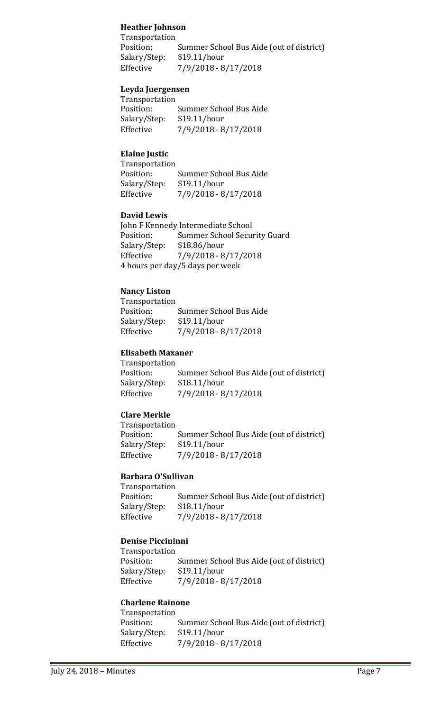## **Heather Johnson**

Transportation Summer School Bus Aide (out of district)<br>\$19.11/hour Salary/Step:<br>Effective Effective 7/9/2018 - 8/17/2018

## **Leyda Juergensen**

| <b>Transportation</b> |                        |
|-----------------------|------------------------|
| Position:             | Summer School Bus Aide |
| Salary/Step:          | \$19.11/hour           |
| Effective             | 7/9/2018 - 8/17/2018   |

## **Elaine Justic**

| Transportation |                        |
|----------------|------------------------|
| Position:      | Summer School Bus Aide |
| Salary/Step:   | \$19.11/hour           |
| Effective      | 7/9/2018 - 8/17/2018   |

#### **David Lewis**

John F Kennedy Intermediate School<br>Position: Summer School Secu Position: Summer School Security Guard<br>Salary/Step: \$18.86/hour \$18.86/hour Effective 7/9/2018 - 8/17/2018 4 hours per day/5 days per week

## **Nancy Liston**

| Transportation |                        |  |
|----------------|------------------------|--|
| Position:      | Summer School Bus Aide |  |
| Salary/Step:   | \$19.11/hour           |  |
| Effective      | $7/9/2018 - 8/17/2018$ |  |

## **Elisabeth Maxaner**

Transportation Summer School Bus Aide (out of district)<br>\$18.11/hour Salary/Step:<br>Effective Effective 7/9/2018 - 8/17/2018

## **Clare Merkle**

| Transportation |                                          |
|----------------|------------------------------------------|
| Position:      | Summer School Bus Aide (out of district) |
| Salary/Step:   | \$19.11/hour                             |
| Effective      | $7/9/2018 - 8/17/2018$                   |
|                |                                          |

## **Barbara O'Sullivan**

Transportation<br>Position: Summer School Bus Aide (out of district)<br>\$18.11/hour Salary/Step:<br>Effective Effective 7/9/2018 - 8/17/2018

## **Denise Piccininni**

Transportation<br>Position: Summer School Bus Aide (out of district)<br>\$19.11/hour Salary/Step:<br>Effective Effective 7/9/2018 - 8/17/2018

# **Charlene Rainone**

| Transportation |                                          |
|----------------|------------------------------------------|
| Position:      | Summer School Bus Aide (out of district) |
| Salary/Step:   | \$19.11/hour                             |
| Effective      | $7/9/2018 - 8/17/2018$                   |
|                |                                          |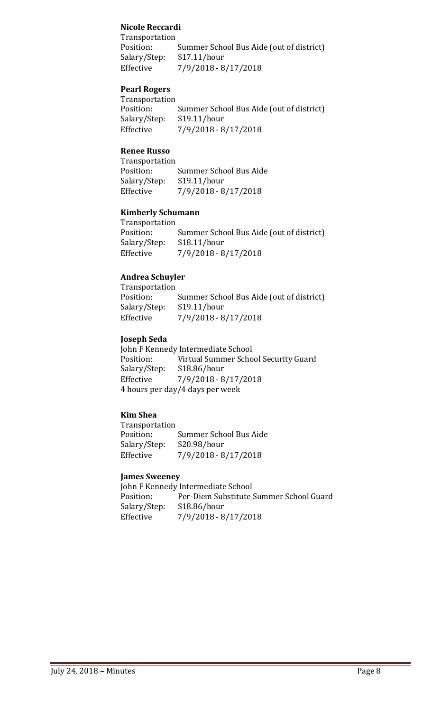## **Nicole Reccardi**

Transportation<br>Position: Summer School Bus Aide (out of district)<br>\$17.11/hour Salary/Step:<br>Effective Effective 7/9/2018 - 8/17/2018

## **Pearl Rogers**

| Transportation |                                          |
|----------------|------------------------------------------|
| Position:      | Summer School Bus Aide (out of district) |
| Salary/Step:   | \$19.11/hour                             |
| Effective      | 7/9/2018 - 8/17/2018                     |
|                |                                          |

## **Renee Russo**

| Transportation |                        |
|----------------|------------------------|
| Position:      | Summer School Bus Aide |
| Salary/Step:   | \$19.11/hour           |
| Effective      | 7/9/2018 - 8/17/2018   |

## **Kimberly Schumann**

| Transportation |                                          |
|----------------|------------------------------------------|
| Position:      | Summer School Bus Aide (out of district) |
| Salary/Step:   | \$18.11/hour                             |
| Effective      | 7/9/2018 - 8/17/2018                     |
|                |                                          |

## **Andrea Schuyler**

| Transportation |                                          |
|----------------|------------------------------------------|
| Position:      | Summer School Bus Aide (out of district) |
| Salary/Step:   | \$19.11/hour                             |
| Effective      | $7/9/2018 - 8/17/2018$                   |
|                |                                          |

## **Joseph Seda**

John F Kennedy Intermediate School<br>Position: Virtual Summer Scho Virtual Summer School Security Guard<br>\$18.86/hour Salary/Step:<br>Effective Effective 7/9/2018 - 8/17/2018 4 hours per day/4 days per week

## **Kim Shea**

| Transportation         |
|------------------------|
| Summer School Bus Aide |
| \$20.98/hour           |
| 7/9/2018 - 8/17/2018   |
|                        |

## **James Sweeney**

John F Kennedy Intermediate School<br>Position: Per-Diem Substitute S Per-Diem Substitute Summer School Guard<br>\$18.86/hour Salary/Step:<br>Effective Effective 7/9/2018 - 8/17/2018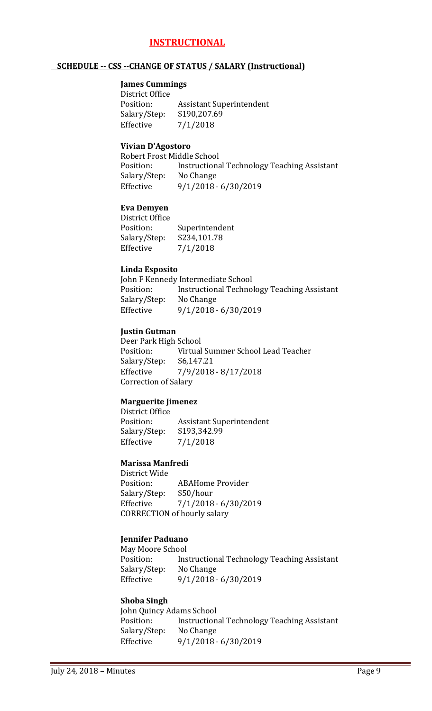# **INSTRUCTIONAL**

#### **SCHEDULE -- CSS --CHANGE OF STATUS / SALARY (Instructional)**

#### **James Cummings**

District Office<br>Position: Assistant Superintendent<br>\$190,207.69 Salary/Step:<br>Effective  $7/1/2018$ 

#### **Vivian D'Agostoro**

Robert Frost Middle School<br>Position: Instructiona Instructional Technology Teaching Assistant<br>No Change Salary/Step: Effective 9/1/2018 - 6/30/2019

#### **Eva Demyen**

District Office Superintendent<br>\$234,101.78 Salary/Step:<br>Effective  $7/1/2018$ 

#### **Linda Esposito**

John F Kennedy Intermediate School<br>Position: lnstructional Technol Instructional Technology Teaching Assistant<br>No Change Salary/Step:<br>Effective Effective 9/1/2018 - 6/30/2019

#### **Justin Gutman**

Deer Park High School<br>Position: Virtual Virtual Summer School Lead Teacher<br>\$6,147.21 Salary/Step:<br>Effective Effective 7/9/2018 - 8/17/2018 Correction of Salary

## **Marguerite Jimenez**

District Office Assistant Superintendent<br>\$193,342.99 Salary/Step:<br>Effective  $7/1/2018$ 

#### **Marissa Manfredi**

District Wide ABAHome Provider<br>\$50/hour Salary/Step: Effective 7/1/2018 - 6/30/2019 CORRECTION of hourly salary

## **Jennifer Paduano**

May Moore School<br>Position: Ins Instructional Technology Teaching Assistant<br>No Change Salary/Step:<br>Effective Effective 9/1/2018 - 6/30/2019

#### **Shoba Singh**

John Quincy Adams School<br>Position: lnstruction Instructional Technology Teaching Assistant<br>No Change Salary/Step: Effective 9/1/2018 - 6/30/2019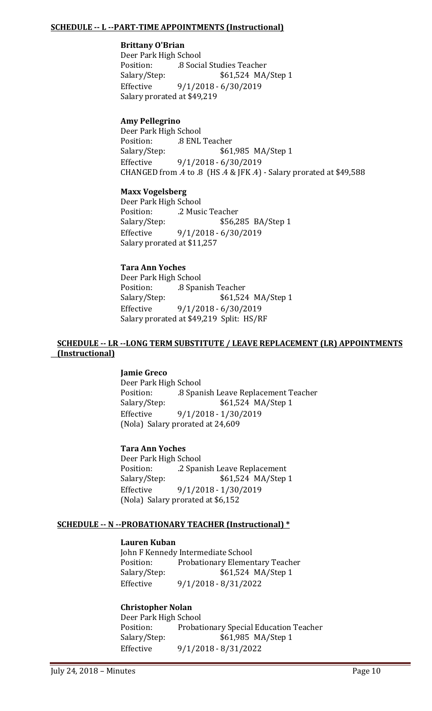## **SCHEDULE -- L --PART-TIME APPOINTMENTS (Instructional)**

## **Brittany O'Brian**

Deer Park High School Position: .8 Social Studies Teacher Salary/Step: \$61,524 MA/Step 1<br>Effective 9/1/2018 - 6/30/2019 Effective 9/1/2018 - 6/30/2019 Salary prorated at \$49,219

## **Amy Pellegrino**

Deer Park High School Position: .8 ENL Teacher<br>Salary/Step: \$61 \$61,985 MA/Step 1 Effective 9/1/2018 - 6/30/2019 CHANGED from .4 to .8 (HS .4 & JFK .4) - Salary prorated at \$49,588

## **Maxx Vogelsberg**

Deer Park High School<br>Position: 2 Musi Position: .2 Music Teacher<br>Salary/Step: \$56,2 \$56,285 BA/Step 1 Effective 9/1/2018 - 6/30/2019 Salary prorated at \$11,257

## **Tara Ann Yoches**

Deer Park High School Position: .8 Spanish Teacher<br>Salary/Step: \$61,524 \$61,524 MA/Step 1 Effective 9/1/2018 - 6/30/2019 Salary prorated at \$49,219 Split: HS/RF

## **SCHEDULE -- LR --LONG TERM SUBSTITUTE / LEAVE REPLACEMENT (LR) APPOINTMENTS (Instructional)**

#### **Jamie Greco**

Deer Park High School Position: .8 Spanish Leave Replacement Teacher \$61,524 MA/Step 1 Effective 9/1/2018 - 1/30/2019 (Nola) Salary prorated at 24,609

#### **Tara Ann Yoches**

Deer Park High School<br>Position: ... 2 Spar Position: ... 2 Spanish Leave Replacement<br>Salary/Step: ... \$61,524 MA/Step \$61,524 MA/Step 1 Effective 9/1/2018 - 1/30/2019 (Nola) Salary prorated at \$6,152

## **SCHEDULE -- N --PROBATIONARY TEACHER (Instructional) \***

#### **Lauren Kuban**

John F Kennedy Intermediate School<br>Position: Probationary Elemen Position: Probationary Elementary Teacher<br>Salary/Step: \$61,524 MA/Step 1 \$61,524 MA/Step 1 Effective 9/1/2018 - 8/31/2022

## **Christopher Nolan**

Deer Park High School<br>Position: Probat Position: Probationary Special Education Teacher<br>Salary/Step: \$61,985 MA/Step 1 Salary/Step: \$61,985 MA/Step 1<br>Effective 9/1/2018 - 8/31/2022 Effective 9/1/2018 - 8/31/2022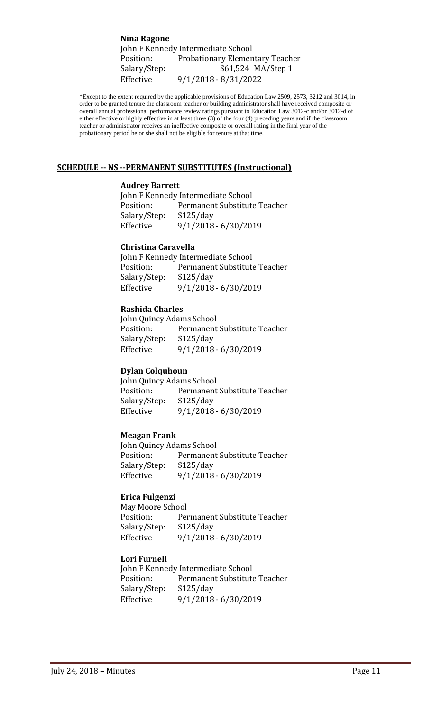**Nina Ragone** John F Kennedy Intermediate School<br>Position: Probationary Elemen Position: Probationary Elementary Teacher<br>Salary/Step: \$61,524 MA/Step 1 Salary/Step: \$61,524 MA/Step 1<br>Effective 9/1/2018 - 8/31/2022 Effective 9/1/2018 - 8/31/2022

\*Except to the extent required by the applicable provisions of Education Law 2509, 2573, 3212 and 3014, in order to be granted tenure the classroom teacher or building administrator shall have received composite or overall annual professional performance review ratings pursuant to Education Law 3012-c and/or 3012-d of either effective or highly effective in at least three (3) of the four (4) preceding years and if the classroom teacher or administrator receives an ineffective composite or overall rating in the final year of the probationary period he or she shall not be eligible for tenure at that time.

#### **SCHEDULE -- NS --PERMANENT SUBSTITUTES (Instructional)**

#### **Audrey Barrett**

John F Kennedy Intermediate School Position: Permanent Substitute Teacher<br>Salary/Step: \$125/day Salary/Step:<br>Effective Effective 9/1/2018 - 6/30/2019

#### **Christina Caravella**

John F Kennedy Intermediate School<br>Position: Permanent Substitut Permanent Substitute Teacher<br>\$125/day Salary/Step:<br>Effective Effective 9/1/2018 - 6/30/2019

#### **Rashida Charles**

John Quincy Adams School<br>Position: Permanent Permanent Substitute Teacher<br>\$125/day Salary/Step: Effective 9/1/2018 - 6/30/2019

#### **Dylan Colquhoun**

John Quincy Adams School<br>Position: Permanent Permanent Substitute Teacher<br>\$125/day Salary/Step: Effective 9/1/2018 - 6/30/2019

#### **Meagan Frank**

John Quincy Adams School Permanent Substitute Teacher<br>\$125/day Salary/Step: Effective 9/1/2018 - 6/30/2019

#### **Erica Fulgenzi**

May Moore School<br>Position: Per Permanent Substitute Teacher<br>\$125/day Salary/Step:<br>Effective Effective 9/1/2018 - 6/30/2019

#### **Lori Furnell**

John F Kennedy Intermediate School<br>Position: Permanent Substitute Permanent Substitute Teacher<br>\$125/day Salary/Step:<br>Effective Effective 9/1/2018 - 6/30/2019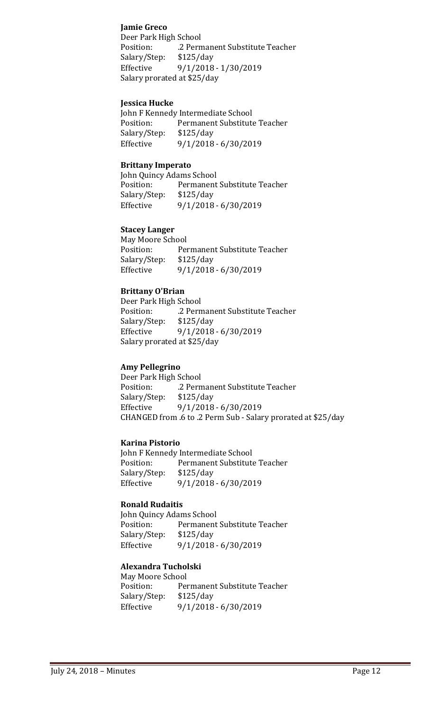## **Jamie Greco**

Deer Park High School Position: .2 Permanent Substitute Teacher<br>Salary/Step: \$125/day Salary/Step: Effective 9/1/2018 - 1/30/2019 Salary prorated at \$25/day

## **Jessica Hucke**

John F Kennedy Intermediate School<br>Position: Permanent Substitute Permanent Substitute Teacher<br>\$125/day Salary/Step: Effective 9/1/2018 - 6/30/2019

#### **Brittany Imperato**

John Quincy Adams School<br>Position: Permanent Permanent Substitute Teacher<br>\$125/day Salary/Step:<br>Effective Effective 9/1/2018 - 6/30/2019

## **Stacey Langer**

May Moore School<br>Position: Per Permanent Substitute Teacher<br>\$125/day Salary/Step: Effective 9/1/2018 - 6/30/2019

## **Brittany O'Brian**

Deer Park High School .2 Permanent Substitute Teacher<br>\$125/day Salary/Step:<br>Effective Effective 9/1/2018 - 6/30/2019 Salary prorated at \$25/day

## **Amy Pellegrino**

Deer Park High School .2 Permanent Substitute Teacher<br>\$125/day Salary/Step: Effective 9/1/2018 - 6/30/2019 CHANGED from .6 to .2 Perm Sub - Salary prorated at \$25/day

#### **Karina Pistorio**

John F Kennedy Intermediate School<br>Position: Permanent Substitute Permanent Substitute Teacher<br>\$125/day Salary/Step:<br>Effective Effective 9/1/2018 - 6/30/2019

#### **Ronald Rudaitis**

John Quincy Adams School<br>Position: Permanent Permanent Substitute Teacher<br>\$125/day Salary/Step:<br>Effective Effective 9/1/2018 - 6/30/2019

#### **Alexandra Tucholski**

May Moore School<br>Position: Per Permanent Substitute Teacher<br>\$125/day Salary/Step: Effective 9/1/2018 - 6/30/2019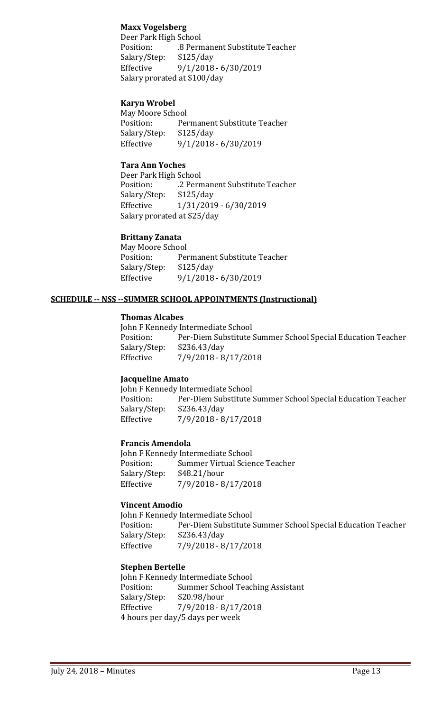## **Maxx Vogelsberg**

Deer Park High School .8 Permanent Substitute Teacher<br>\$125/day Salary/Step: Effective 9/1/2018 - 6/30/2019 Salary prorated at \$100/day

## **Karyn Wrobel**

May Moore School<br>Position: Per Permanent Substitute Teacher<br>\$125/day Salary/Step:<br>Effective Effective 9/1/2018 - 6/30/2019

## **Tara Ann Yoches**

Deer Park High School .2 Permanent Substitute Teacher<br>\$125/day Salary/Step: Effective 1/31/2019 - 6/30/2019 Salary prorated at \$25/day

# **Brittany Zanata**

May Moore School<br>Position: Per Permanent Substitute Teacher<br>\$125/day Salary/Step:<br>Effective Effective 9/1/2018 - 6/30/2019

## **SCHEDULE -- NSS --SUMMER SCHOOL APPOINTMENTS (Instructional)**

#### **Thomas Alcabes**

John F Kennedy Intermediate School<br>Position: Per-Diem Substitute Per-Diem Substitute Summer School Special Education Teacher<br>\$236.43/day Salary/Step:<br>Effective Effective 7/9/2018 - 8/17/2018

## **Jacqueline Amato**

John F Kennedy Intermediate School<br>Position: Per-Diem Substitute ! Per-Diem Substitute Summer School Special Education Teacher<br>\$236.43/day Salary/Step:<br>Effective Effective 7/9/2018 - 8/17/2018

#### **Francis Amendola**

John F Kennedy Intermediate School<br>Position: Summer Virtual Scier Summer Virtual Science Teacher<br>\$48.21/hour Salary/Step:<br>Effective Effective 7/9/2018 - 8/17/2018

#### **Vincent Amodio**

John F Kennedy Intermediate School<br>Position: Per-Diem Substitute ! Per-Diem Substitute Summer School Special Education Teacher \$236.43/day Salary/Step:<br>Effective Effective 7/9/2018 - 8/17/2018

#### **Stephen Bertelle**

John F Kennedy Intermediate School<br>Position: Summer School Teacl Summer School Teaching Assistant<br>\$20.98/hour Salary/Step:<br>Effective Effective 7/9/2018 - 8/17/2018 4 hours per day/5 days per week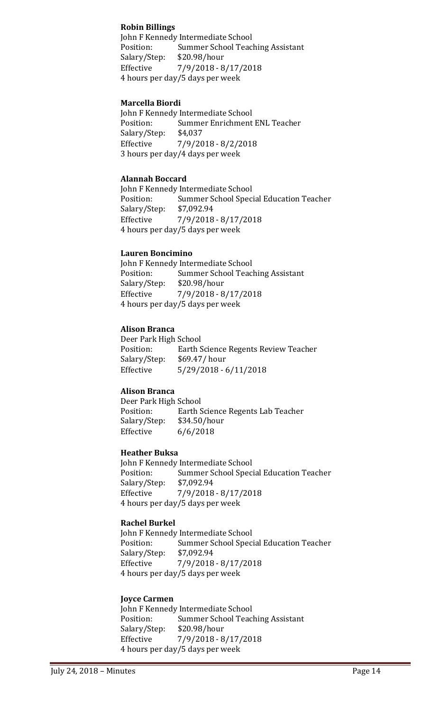## **Robin Billings**

John F Kennedy Intermediate School<br>Position: Summer School Teacl Summer School Teaching Assistant<br>\$20.98/hour Salary/Step: Effective 7/9/2018 - 8/17/2018 4 hours per day/5 days per week

## **Marcella Biordi**

John F Kennedy Intermediate School<br>Position: Summer Enrichment Summer Enrichment ENL Teacher<br>\$4.037 Salary/Step: Effective 7/9/2018 - 8/2/2018 3 hours per day/4 days per week

## **Alannah Boccard**

John F Kennedy Intermediate School<br>Position: Summer School Speci Summer School Special Education Teacher<br>\$7.092.94 Salary/Step:<br>Effective  $7/9/2018 - 8/17/2018$ 4 hours per day/5 days per week

## **Lauren Boncimino**

John F Kennedy Intermediate School<br>Position: Summer School Teac Summer School Teaching Assistant<br>\$20.98/hour Salary/Step:<br>Effective Effective 7/9/2018 - 8/17/2018 4 hours per day/5 days per week

## **Alison Branca**

Deer Park High School Earth Science Regents Review Teacher<br>\$69.47/ hour Salary/Step:<br>Effective  $5/29/2018 - 6/11/2018$ 

## **Alison Branca**

Deer Park High School<br>Position: Earth S Earth Science Regents Lab Teacher<br>\$34.50/hour Salary/Step:<br>Effective  $6/6/2018$ 

## **Heather Buksa**

John F Kennedy Intermediate School<br>Position: Summer School Speci Summer School Special Education Teacher<br>\$7,092.94 Salary/Step: Effective 7/9/2018 - 8/17/2018 4 hours per day/5 days per week

## **Rachel Burkel**

John F Kennedy Intermediate School<br>Position: Summer School Speci Summer School Special Education Teacher<br>\$7,092.94 Salary/Step: Effective 7/9/2018 - 8/17/2018 4 hours per day/5 days per week

## **Joyce Carmen**

John F Kennedy Intermediate School<br>Position: Summer School Teac Summer School Teaching Assistant<br>\$20.98/hour Salary/Step: Effective 7/9/2018 - 8/17/2018 4 hours per day/5 days per week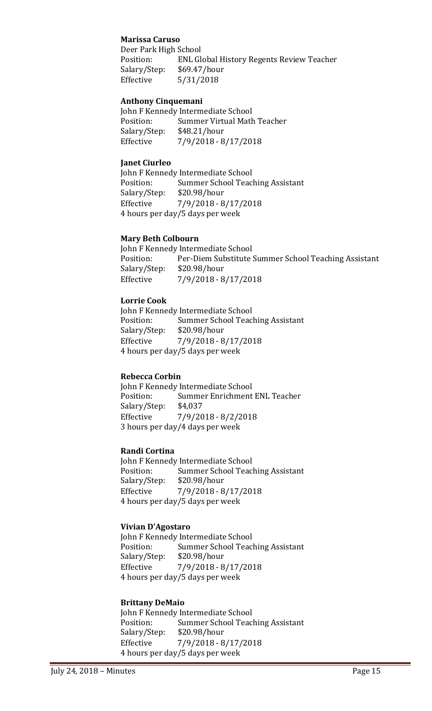## **Marissa Caruso**

Deer Park High School ENL Global History Regents Review Teacher<br>\$69.47/hour Salary/Step:<br>Effective Effective 5/31/2018

## **Anthony Cinquemani**

John F Kennedy Intermediate School<br>Position: Summer Virtual Math Summer Virtual Math Teacher<br>\$48.21/hour Salary/Step:<br>Effective Effective 7/9/2018 - 8/17/2018

## **Janet Ciurleo**

John F Kennedy Intermediate School<br>Position: Summer School Teac Summer School Teaching Assistant<br>\$20.98/hour Salary/Step: Effective 7/9/2018 - 8/17/2018 4 hours per day/5 days per week

#### **Mary Beth Colbourn**

John F Kennedy Intermediate School<br>Position: Per-Diem Substitute ! Per-Diem Substitute Summer School Teaching Assistant \$20.98/hour Salary/Step:<br>Effective Effective 7/9/2018 - 8/17/2018

## **Lorrie Cook**

John F Kennedy Intermediate School<br>Position: Summer School Teac Summer School Teaching Assistant<br>\$20.98/hour Salary/Step: Effective 7/9/2018 - 8/17/2018 4 hours per day/5 days per week

## **Rebecca Corbin**

John F Kennedy Intermediate School<br>Position: Summer Enrichment Summer Enrichment ENL Teacher<br>\$4.037 Salary/Step:<br>Effective Effective 7/9/2018 - 8/2/2018 3 hours per day/4 days per week

#### **Randi Cortina**

John F Kennedy Intermediate School<br>Position: Summer School Teac Summer School Teaching Assistant<br>\$20.98/hour Salary/Step:<br>Effective Effective 7/9/2018 - 8/17/2018 4 hours per day/5 days per week

#### **Vivian D'Agostaro**

John F Kennedy Intermediate School<br>Position: Summer School Teac Summer School Teaching Assistant<br>\$20.98/hour Salary/Step:<br>Effective Effective 7/9/2018 - 8/17/2018 4 hours per day/5 days per week

## **Brittany DeMaio**

John F Kennedy Intermediate School<br>Position: Summer School Teac Position: Summer School Teaching Assistant<br>Salary/Step: \$20.98/hour Salary/Step: \$20.98/hour Effective 7/9/2018 - 8/17/2018 4 hours per day/5 days per week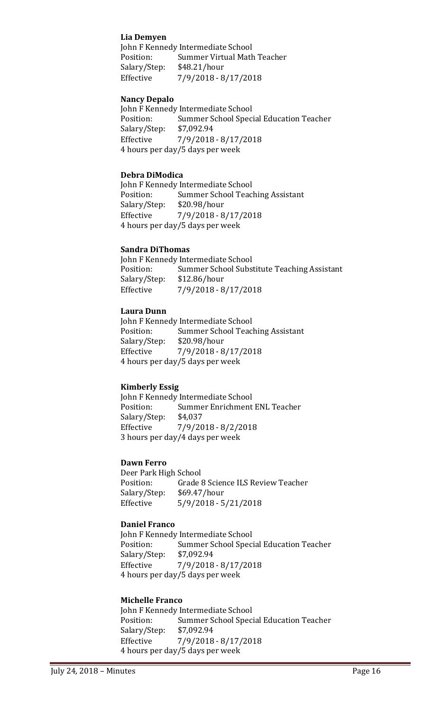## **Lia Demyen**

John F Kennedy Intermediate School<br>Position: Summer Virtual Math Summer Virtual Math Teacher<br>\$48.21/hour Salary/Step:<br>Effective Effective 7/9/2018 - 8/17/2018

## **Nancy Depalo**

John F Kennedy Intermediate School<br>Position: Summer School Spec Summer School Special Education Teacher<br>\$7,092.94 Salary/Step:<br>Effective Effective 7/9/2018 - 8/17/2018 4 hours per day/5 days per week

#### **Debra DiModica**

John F Kennedy Intermediate School<br>Position: Summer School Teac Summer School Teaching Assistant<br>\$20.98/hour Salary/Step:<br>Effective Effective 7/9/2018 - 8/17/2018 4 hours per day/5 days per week

## **Sandra DiThomas**

John F Kennedy Intermediate School<br>Position: Summer School Subs Summer School Substitute Teaching Assistant<br>\$12.86/hour Salary/Step:<br>Effective Effective 7/9/2018 - 8/17/2018

## **Laura Dunn**

John F Kennedy Intermediate School<br>Position: Summer School Teac Summer School Teaching Assistant<br>\$20.98/hour Salary/Step:<br>Effective Effective 7/9/2018 - 8/17/2018 4 hours per day/5 days per week

#### **Kimberly Essig**

John F Kennedy Intermediate School<br>Position: Summer Enrichment Summer Enrichment ENL Teacher<br>\$4,037 Salary/Step:<br>Effective Effective 7/9/2018 - 8/2/2018 3 hours per day/4 days per week

#### **Dawn Ferro**

Deer Park High School<br>Position: Grade Grade 8 Science ILS Review Teacher<br>\$69.47/hour Salary/Step:<br>Effective Effective 5/9/2018 - 5/21/2018

## **Daniel Franco**

John F Kennedy Intermediate School<br>Position: Summer School Speci Summer School Special Education Teacher<br>\$7,092.94 Salary/Step:<br>Effective Effective 7/9/2018 - 8/17/2018 4 hours per day/5 days per week

## **Michelle Franco**

John F Kennedy Intermediate School<br>Position: Summer School Speci Summer School Special Education Teacher<br>\$7,092.94 Salary/Step: Effective 7/9/2018 - 8/17/2018 4 hours per day/5 days per week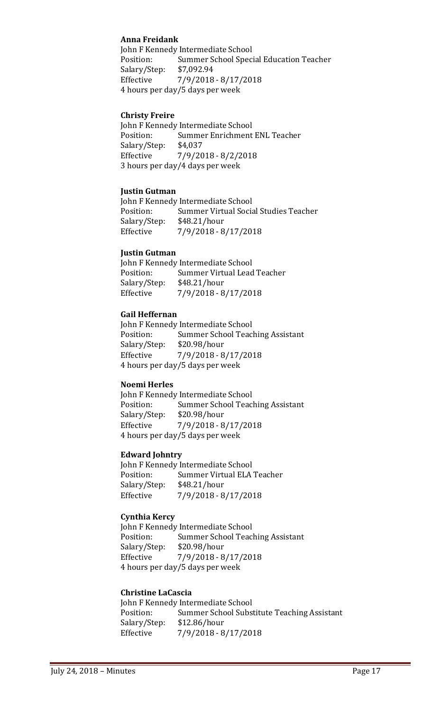## **Anna Freidank**

John F Kennedy Intermediate School<br>Position: Summer School Spec Summer School Special Education Teacher<br>\$7,092.94 Salary/Step:<br>Effective Effective 7/9/2018 - 8/17/2018 4 hours per day/5 days per week

#### **Christy Freire**

John F Kennedy Intermediate School<br>Position: Summer Enrichment Summer Enrichment ENL Teacher<br>\$4,037 Salary/Step: Effective 7/9/2018 - 8/2/2018 3 hours per day/4 days per week

#### **Justin Gutman**

John F Kennedy Intermediate School<br>Position: Summer Virtual Socia Summer Virtual Social Studies Teacher<br>\$48.21/hour Salary/Step:<br>Effective Effective 7/9/2018 - 8/17/2018

#### **Justin Gutman**

| John F Kennedy Intermediate School |                             |  |
|------------------------------------|-----------------------------|--|
| Position:                          | Summer Virtual Lead Teacher |  |
| Salary/Step:                       | \$48.21/hour                |  |
| Effective                          | 7/9/2018 - 8/17/2018        |  |

#### **Gail Heffernan**

John F Kennedy Intermediate School<br>Position: Summer School Teac Summer School Teaching Assistant<br>\$20.98/hour Salary/Step: Effective 7/9/2018 - 8/17/2018 4 hours per day/5 days per week

#### **Noemi Herles**

John F Kennedy Intermediate School<br>Position: Summer School Teac Summer School Teaching Assistant<br>\$20.98/hour Salary/Step:<br>Effective Effective 7/9/2018 - 8/17/2018 4 hours per day/5 days per week

#### **Edward Johntry**

John F Kennedy Intermediate School<br>Position: Summer Virtual ELA Summer Virtual ELA Teacher<br>\$48.21/hour Salary/Step:<br>Effective Effective 7/9/2018 - 8/17/2018

## **Cynthia Kercy**

John F Kennedy Intermediate School<br>Position: Summer School Teac Summer School Teaching Assistant Salary/Step: \$20.98/hour Effective 7/9/2018 - 8/17/2018 4 hours per day/5 days per week

#### **Christine LaCascia**

|              | John F Kennedy Intermediate School          |
|--------------|---------------------------------------------|
| Position:    | Summer School Substitute Teaching Assistant |
| Salary/Step: | \$12.86/hour                                |
| Effective    | $7/9/2018 - 8/17/2018$                      |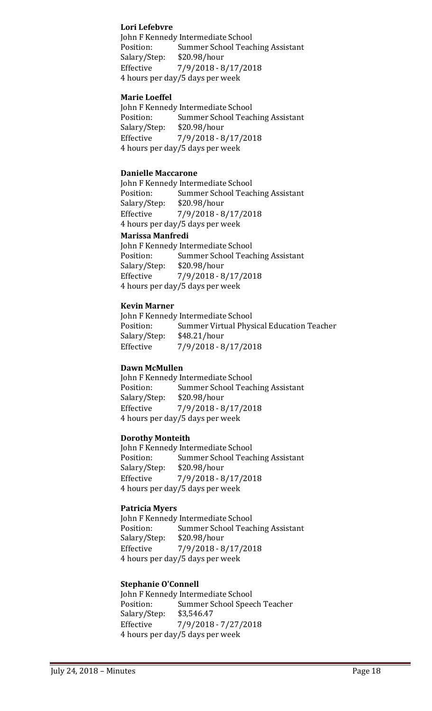## **Lori Lefebvre**

John F Kennedy Intermediate School Position: Summer School Teaching Assistant<br>Salary/Step: \$20.98/hour Salary/Step:<br>Effective Effective 7/9/2018 - 8/17/2018 4 hours per day/5 days per week

## **Marie Loeffel**

John F Kennedy Intermediate School<br>Position: Summer School Teac Summer School Teaching Assistant<br>\$20.98/hour Salary/Step:<br>Effective Effective 7/9/2018 - 8/17/2018 4 hours per day/5 days per week

#### **Danielle Maccarone**

John F Kennedy Intermediate School<br>Position: Summer School Teac Summer School Teaching Assistant<br>\$20.98/hour Salary/Step:<br>Effective Effective 7/9/2018 - 8/17/2018 4 hours per day/5 days per week

## **Marissa Manfredi**

John F Kennedy Intermediate School<br>Position: Summer School Teacl Summer School Teaching Assistant<br>\$20.98/hour Salary/Step:<br>Effective Effective 7/9/2018 - 8/17/2018 4 hours per day/5 days per week

#### **Kevin Marner**

John F Kennedy Intermediate School<br>Position: Summer Virtual Phys Summer Virtual Physical Education Teacher<br>\$48.21/hour Salary/Step:<br>Effective Effective 7/9/2018 - 8/17/2018

#### **Dawn McMullen**

John F Kennedy Intermediate School<br>Position: Summer School Teac Summer School Teaching Assistant<br>\$20.98/hour Salary/Step:<br>Effective Effective 7/9/2018 - 8/17/2018 4 hours per day/5 days per week

#### **Dorothy Monteith**

John F Kennedy Intermediate School<br>Position: Summer School Teac Summer School Teaching Assistant<br>\$20.98/hour Salary/Step: Effective 7/9/2018 - 8/17/2018 4 hours per day/5 days per week

#### **Patricia Myers**

John F Kennedy Intermediate School<br>Position: Summer School Teac Summer School Teaching Assistant<br>\$20.98/hour Salary/Step: Effective 7/9/2018 - 8/17/2018 4 hours per day/5 days per week

#### **Stephanie O'Connell**

John F Kennedy Intermediate School<br>Position: Summer School Spee Summer School Speech Teacher<br>\$3,546.47 Salary/Step: Effective 7/9/2018 - 7/27/2018 4 hours per day/5 days per week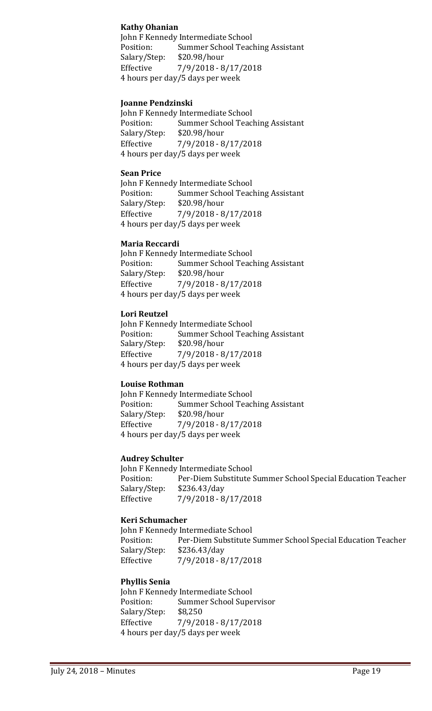## **Kathy Ohanian**

John F Kennedy Intermediate School<br>Position: Summer School Teacl Summer School Teaching Assistant<br>\$20.98/hour Salary/Step: Effective 7/9/2018 - 8/17/2018 4 hours per day/5 days per week

## **Joanne Pendzinski**

John F Kennedy Intermediate School<br>Position: Summer School Teac Summer School Teaching Assistant<br>\$20.98/hour Salary/Step: Effective 7/9/2018 - 8/17/2018 4 hours per day/5 days per week

#### **Sean Price**

John F Kennedy Intermediate School<br>Position: Summer School Teac Summer School Teaching Assistant<br>\$20.98/hour Salary/Step:<br>Effective Effective 7/9/2018 - 8/17/2018 4 hours per day/5 days per week

## **Maria Reccardi**

John F Kennedy Intermediate School<br>Position: Summer School Teac Summer School Teaching Assistant<br>\$20.98/hour Salary/Step:<br>Effective Effective 7/9/2018 - 8/17/2018 4 hours per day/5 days per week

## **Lori Reutzel**

John F Kennedy Intermediate School<br>Position: Summer School Teac Summer School Teaching Assistant<br>\$20.98/hour Salary/Step:<br>Effective  $7/9/2018 - 8/17/2018$ 4 hours per day/5 days per week

## **Louise Rothman**

John F Kennedy Intermediate School<br>Position: Summer School Teac Summer School Teaching Assistant Salary/Step: \$20.98/hour Effective 7/9/2018 - 8/17/2018 4 hours per day/5 days per week

## **Audrey Schulter**

John F Kennedy Intermediate School<br>Position: Per-Diem Substitute ! Position: Per-Diem Substitute Summer School Special Education Teacher<br>Salary/Step: \$236.43/day Salary/Step: \$236.43/day Effective 7/9/2018 - 8/17/2018

## **Keri Schumacher**

John F Kennedy Intermediate School<br>Position: Per-Diem Substitute ! Per-Diem Substitute Summer School Special Education Teacher<br>\$236.43/day Salary/Step:<br>Effective Effective 7/9/2018 - 8/17/2018

#### **Phyllis Senia**

John F Kennedy Intermediate School<br>Position: Summer School Supe Summer School Supervisor<br>\$8,250 Salary/Step: Effective 7/9/2018 - 8/17/2018 4 hours per day/5 days per week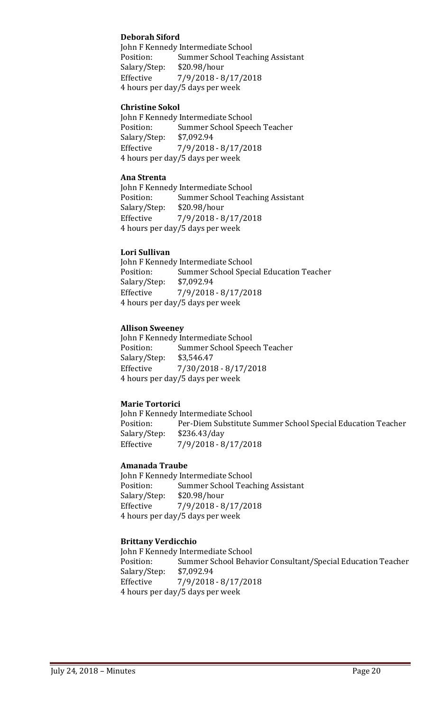## **Deborah Siford**

John F Kennedy Intermediate School<br>Position: Summer School Teac Summer School Teaching Assistant<br>\$20.98/hour Salary/Step:<br>Effective Effective 7/9/2018 - 8/17/2018 4 hours per day/5 days per week

#### **Christine Sokol**

John F Kennedy Intermediate School<br>Position: Summer School Spee Summer School Speech Teacher<br>\$7,092.94 Salary/Step:<br>Effective Effective 7/9/2018 - 8/17/2018 4 hours per day/5 days per week

#### **Ana Strenta**

John F Kennedy Intermediate School<br>Position: Summer School Teac Summer School Teaching Assistant<br>\$20.98/hour Salary/Step: Effective 7/9/2018 - 8/17/2018 4 hours per day/5 days per week

#### **Lori Sullivan**

John F Kennedy Intermediate School<br>Position: Summer School Spec Summer School Special Education Teacher<br>\$7,092.94 Salary/Step: Effective 7/9/2018 - 8/17/2018 4 hours per day/5 days per week

#### **Allison Sweeney**

John F Kennedy Intermediate School<br>Position: Summer School Spee Summer School Speech Teacher<br>\$3,546.47 Salary/Step:<br>Effective Effective 7/30/2018 - 8/17/2018 4 hours per day/5 days per week

## **Marie Tortorici**

John F Kennedy Intermediate School Per-Diem Substitute Summer School Special Education Teacher \$236.43/day Salary/Step:<br>Effective Effective 7/9/2018 - 8/17/2018

#### **Amanada Traube**

John F Kennedy Intermediate School<br>Position: Summer School Teac Summer School Teaching Assistant<br>\$20.98/hour Salary/Step: Effective 7/9/2018 - 8/17/2018 4 hours per day/5 days per week

#### **Brittany Verdicchio**

John F Kennedy Intermediate School<br>Position: Summer School Beha Summer School Behavior Consultant/Special Education Teacher \$7,092.94 Salary/Step:<br>Effective Effective 7/9/2018 - 8/17/2018 4 hours per day/5 days per week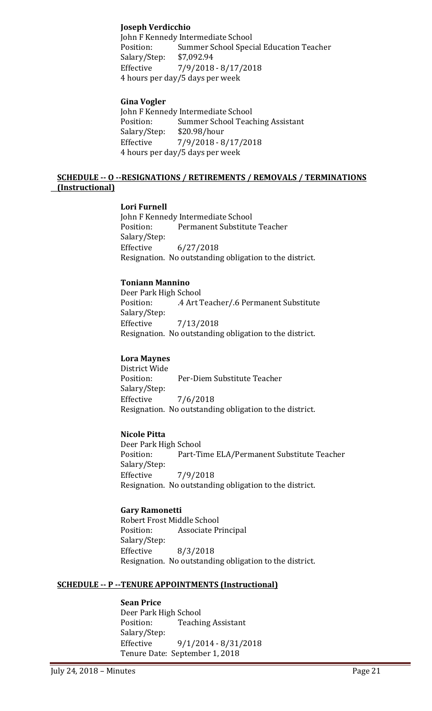## **Joseph Verdicchio**

John F Kennedy Intermediate School Position: Summer School Special Education Teacher<br>Salary/Step: \$7,092.94 Salary/Step: Effective 7/9/2018 - 8/17/2018 4 hours per day/5 days per week

## **Gina Vogler**

John F Kennedy Intermediate School<br>Position: Summer School Teac Summer School Teaching Assistant<br>\$20.98/hour Salary/Step:<br>Effective Effective 7/9/2018 - 8/17/2018 4 hours per day/5 days per week

## **SCHEDULE -- O --RESIGNATIONS / RETIREMENTS / REMOVALS / TERMINATIONS (Instructional)**

## **Lori Furnell**

John F Kennedy Intermediate School<br>Position: Permanent Substitute Permanent Substitute Teacher Salary/Step:<br>Effective  $6/27/2018$ Resignation. No outstanding obligation to the district.

## **Toniann Mannino**

Deer Park High School .4 Art Teacher/.6 Permanent Substitute Salary/Step:<br>Effective Effective 7/13/2018 Resignation. No outstanding obligation to the district.

## **Lora Maynes**

District Wide<br>Position: Per-Diem Substitute Teacher Salary/Step: Effective 7/6/2018 Resignation. No outstanding obligation to the district.

## **Nicole Pitta**

Deer Park High School Part-Time ELA/Permanent Substitute Teacher Salary/Step:<br>Effective Effective 7/9/2018 Resignation. No outstanding obligation to the district.

## **Gary Ramonetti**

Robert Frost Middle School<br>Position: Associate Pr Associate Principal Salary/Step:  $8/3/2018$ Resignation. No outstanding obligation to the district.

#### **SCHEDULE -- P --TENURE APPOINTMENTS (Instructional)**

#### **Sean Price**

Deer Park High School<br>Position: Teachi **Teaching Assistant** Salary/Step:<br>Effective Effective 9/1/2014 - 8/31/2018 Tenure Date: September 1, 2018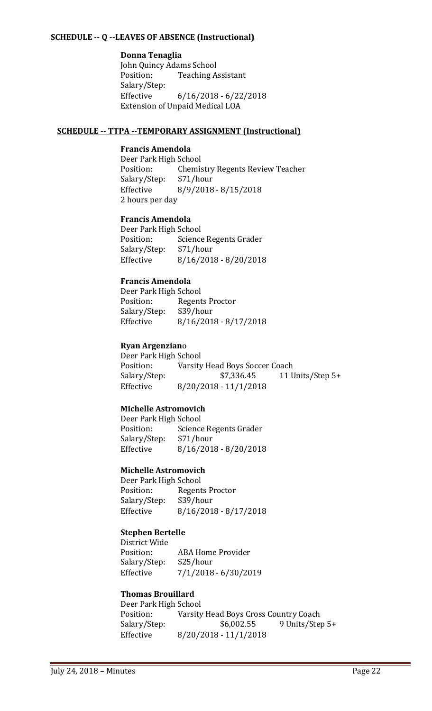## **SCHEDULE -- Q --LEAVES OF ABSENCE (Instructional)**

#### **Donna Tenaglia**

John Quincy Adams School<br>Position: Teaching A **Teaching Assistant** Salary/Step:<br>Effective  $6/16/2018 - 6/22/2018$ Extension of Unpaid Medical LOA

## **SCHEDULE -- TTPA --TEMPORARY ASSIGNMENT (Instructional)**

## **Francis Amendola**

Deer Park High School<br>Position: Chemis Chemistry Regents Review Teacher<br>\$71/hour Salary/Step:<br>Effective Effective 8/9/2018 - 8/15/2018 2 hours per day

## **Francis Amendola**

Deer Park High School<br>Position: Science Science Regents Grader<br>\$71/hour Salary/Step:<br>Effective Effective 8/16/2018 - 8/20/2018

## **Francis Amendola**

Deer Park High School Regents Proctor<br>\$39/hour Salary/Step:<br>Effective  $8/16/2018 - 8/17/2018$ 

## **Ryan Argenzian**o

Deer Park High School<br>Position: Varsity Position: Varsity Head Boys Soccer Coach<br>Salary/Step: \$7,336.45 11 U Salary/Step: \$7,336.45 11 Units/Step 5+<br>Effective 8/20/2018 - 11/1/2018 Effective 8/20/2018 - 11/1/2018

## **Michelle Astromovich**

Deer Park High School<br>Position: Science Science Regents Grader<br>\$71/hour Salary/Step:<br>Effective  $8/16/2018 - 8/20/2018$ 

#### **Michelle Astromovich**

Deer Park High School<br>Position: Regent Regents Proctor<br>\$39/hour Salary/Step:<br>Effective  $8/16/2018 - 8/17/2018$ 

## **Stephen Bertelle**

District Wide ABA Home Provider<br>\$25/hour Salary/Step:<br>Effective Effective 7/1/2018 - 6/30/2019

## **Thomas Brouillard**

Deer Park High School<br>Position: Varsity Position: Varsity Head Boys Cross Country Coach<br>Salary/Step: \$6,002.55 9 Units/Step 9 Units/Step 5+ Effective 8/20/2018 - 11/1/2018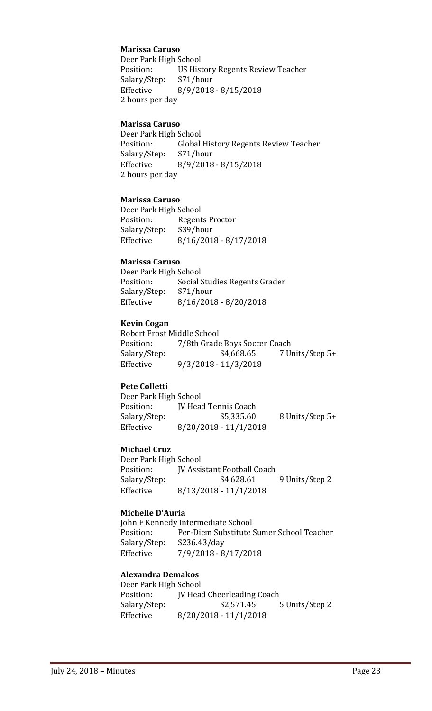## **Marissa Caruso**

Deer Park High School<br>Position: US Hist US History Regents Review Teacher<br>\$71/hour Salary/Step:<br>Effective Effective 8/9/2018 - 8/15/2018 2 hours per day

## **Marissa Caruso**

Deer Park High School<br>Position: Global Global History Regents Review Teacher<br>\$71/hour Salary/Step:<br>Effective Effective 8/9/2018 - 8/15/2018 2 hours per day

## **Marissa Caruso**

Deer Park High School<br>Position: Regent Regents Proctor<br>\$39/hour Salary/Step: Effective 8/16/2018 - 8/17/2018

## **Marissa Caruso**

Deer Park High School<br>Position: Social ! Social Studies Regents Grader<br>\$71/hour Salary/Step:<br>Effective Effective 8/16/2018 - 8/20/2018

## **Kevin Cogan**

Robert Frost Middle School<br>Position: 7/8th Grade Position: 7/8th Grade Boys Soccer Coach<br>Salary/Step: \$4,668.65 7 U 7 Units/Step 5+ Effective 9/3/2018 - 11/3/2018

## **Pete Colletti**

Deer Park High School<br>Position: JV Head Position: JV Head Tennis Coach<br>Salary/Step: \$5,335.60 Salary/Step: \$5,335.60 8 Units/Step 5+<br>Effective 8/20/2018 - 11/1/2018  $8/20/2018 - 11/1/2018$ 

## **Michael Cruz**

Deer Park High School<br>Position: [V Assi Position: JV Assistant Football Coach<br>Salary/Step: \$4,628.61 9 Units/Step 2 Effective 8/13/2018 - 11/1/2018

#### **Michelle D'Auria**

John F Kennedy Intermediate School<br>Position: Per-Diem Substitute ! Per-Diem Substitute Sumer School Teacher<br>\$236.43/day Salary/Step:<br>Effective Effective 7/9/2018 - 8/17/2018

## **Alexandra Demakos**

| Deer Park High School |                                   |                |
|-----------------------|-----------------------------------|----------------|
| Position:             | <b>IV Head Cheerleading Coach</b> |                |
| Salary/Step:          | \$2,571.45                        | 5 Units/Step 2 |
| Effective             | $8/20/2018 - 11/1/2018$           |                |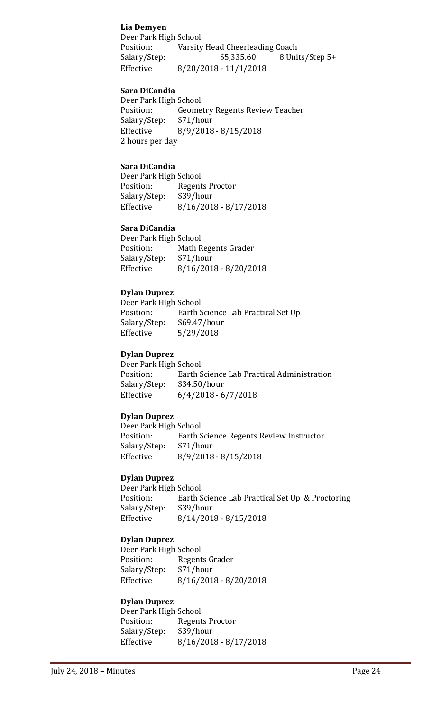## **Lia Demyen**

Deer Park High School<br>Position: Varsity Position: Varsity Head Cheerleading Coach<br>Salary/Step: \$5,335.60 8 Uni 8 Units/Step 5+ Effective 8/20/2018 - 11/1/2018

## **Sara DiCandia**

Deer Park High School<br>Position: Geome Geometry Regents Review Teacher<br>\$71/hour Salary/Step:<br>Effective Effective 8/9/2018 - 8/15/2018 2 hours per day

## **Sara DiCandia**

Deer Park High School<br>Position: Regent Regents Proctor<br>\$39/hour Salary/Step:<br>Effective  $8/16/2018 - 8/17/2018$ 

#### **Sara DiCandia**

Deer Park High School<br>Position: Math R Math Regents Grader<br>\$71/hour Salary/Step:<br>Effective Effective 8/16/2018 - 8/20/2018

## **Dylan Duprez**

Deer Park High School<br>Position: Earth S Position: Earth Science Lab Practical Set Up<br>Salary/Step: \$69.47/hour Salary/Step: \$69.47/hour<br>Effective 5/29/2018 Effective 5/29/2018

## **Dylan Duprez**

Deer Park High School<br>Position: Earth S Earth Science Lab Practical Administration<br>\$34.50/hour Salary/Step: Effective 6/4/2018 - 6/7/2018

## **Dylan Duprez**

Deer Park High School<br>Position: Earth S Earth Science Regents Review Instructor<br>\$71/hour Salary/Step:<br>Effective Effective 8/9/2018 - 8/15/2018

#### **Dylan Duprez**

Deer Park High School Earth Science Lab Practical Set Up & Proctoring \$39/hour Salary/Step:<br>Effective  $8/14/2018 - 8/15/2018$ 

#### **Dylan Duprez**

Deer Park High School<br>Position: Regent Regents Grader<br>\$71/hour Salary/Step: Effective 8/16/2018 - 8/20/2018

#### **Dylan Duprez**

Deer Park High School Regents Proctor<br>\$39/hour Salary/Step: Effective 8/16/2018 - 8/17/2018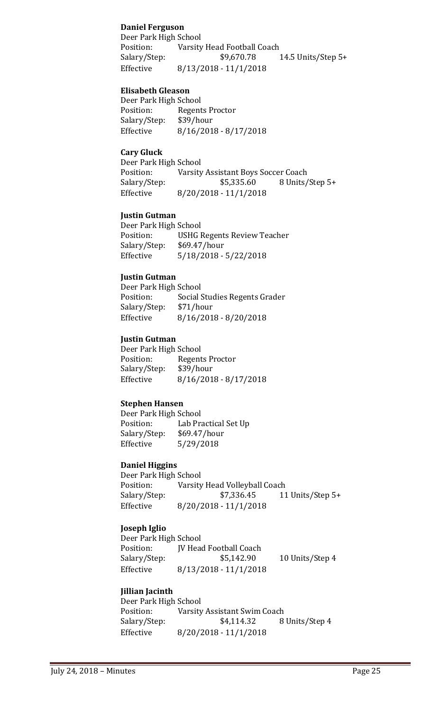## **Daniel Ferguson**

Deer Park High School<br>Position: Varsity Position: Varsity Head Football Coach<br>Salary/Step: \$9,670.78 14.5 Units/Step  $5+$ Effective 8/13/2018 - 11/1/2018

## **Elisabeth Gleason**

Deer Park High School<br>Position: Regent Regents Proctor<br>\$39/hour Salary/Step:<br>Effective  $8/16/2018 - 8/17/2018$ 

## **Cary Gluck**

Deer Park High School<br>Position: Varsity Position: Varsity Assistant Boys Soccer Coach<br>Salary/Step: \$5,335.60 8 Units/ \$5,335.60 8 Units/Step 5+ Effective 8/20/2018 - 11/1/2018

## **Justin Gutman**

Deer Park High School<br>Position: USHG I Position: USHG Regents Review Teacher<br>Salary/Step: \$69.47/hour \$69.47/hour Effective 5/18/2018 - 5/22/2018

## **Justin Gutman**

Deer Park High School<br>Position: Social ! Social Studies Regents Grader<br>\$71/hour Salary/Step:<br>Effective Effective 8/16/2018 - 8/20/2018

## **Justin Gutman**

Deer Park High School<br>Position: Regent Regents Proctor<br>\$39/hour Salary/Step: Effective 8/16/2018 - 8/17/2018

## **Stephen Hansen**

Deer Park High School Position: Lab Practical Set Up<br>Salary/Step: \$69.47/hour Salary/Step:<br>Effective Effective 5/29/2018

#### **Daniel Higgins**

Deer Park High School<br>Position: Varsity Position: Varsity Head Volleyball Coach<br>Salary/Step: \$7,336.45 11 Salary/Step: \$7,336.45 11 Units/Step 5+<br>Effective 8/20/2018 - 11/1/2018 Effective 8/20/2018 - 11/1/2018

## **Joseph Iglio**

| Deer Park High School |                               |                 |
|-----------------------|-------------------------------|-----------------|
| Position:             | <b>IV Head Football Coach</b> |                 |
| Salary/Step:          | \$5,142.90                    | 10 Units/Step 4 |
| Effective             | $8/13/2018 - 11/1/2018$       |                 |

## **Jillian Jacinth**

| Deer Park High School |                              |                |
|-----------------------|------------------------------|----------------|
| Position:             | Varsity Assistant Swim Coach |                |
| Salary/Step:          | \$4,114.32                   | 8 Units/Step 4 |
| Effective             | $8/20/2018 - 11/1/2018$      |                |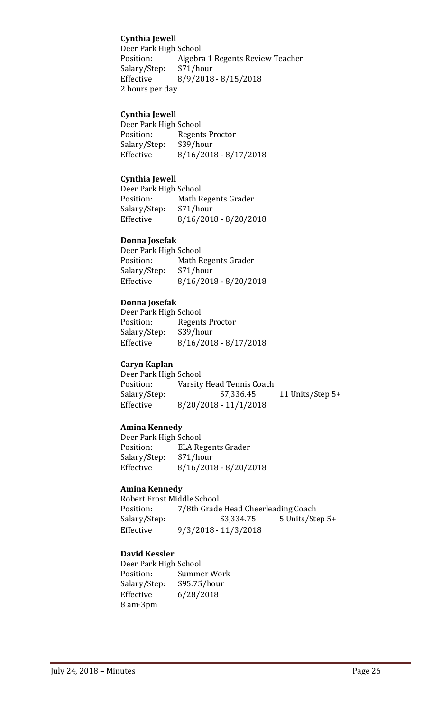## **Cynthia Jewell**

Deer Park High School<br>Position: Algebra Algebra 1 Regents Review Teacher<br>\$71/hour Salary/Step:<br>Effective Effective 8/9/2018 - 8/15/2018 2 hours per day

## **Cynthia Jewell**

Deer Park High School<br>Position: Regent Regents Proctor<br>\$39/hour Salary/Step:<br>Effective  $8/16/2018 - 8/17/2018$ 

## **Cynthia Jewell**

Deer Park High School<br>Position: Math R Math Regents Grader<br>\$71/hour Salary/Step:<br>Effective Effective 8/16/2018 - 8/20/2018

#### **Donna Josefak**

Deer Park High School Math Regents Grader<br>\$71/hour Salary/Step:<br>Effective  $8/16/2018 - 8/20/2018$ 

#### **Donna Josefak**

Deer Park High School<br>Position: Regent Regents Proctor<br>\$39/hour Salary/Step:<br>Effective  $8/16/2018 - 8/17/2018$ 

#### **Caryn Kaplan**

Deer Park High School<br>Position: Varsity Position: Varsity Head Tennis Coach<br>Salary/Step: \$7,336.45 11 Units/Step 5+ Effective 8/20/2018 - 11/1/2018

## **Amina Kennedy**

Deer Park High School<br>Position: ELA Re ELA Regents Grader<br>\$71/hour Salary/Step:<br>Effective Effective 8/16/2018 - 8/20/2018

## **Amina Kennedy**

Robert Frost Middle School<br>Position: 7/8th Grade Position: 7/8th Grade Head Cheerleading Coach<br>Salary/Step: \$3,334.75 5 Units/St Salary/Step: \$3,334.75 5 Units/Step 5+<br>Effective 9/3/2018 - 11/3/2018 Effective 9/3/2018 - 11/3/2018

## **David Kessler**

Deer Park High School<br>Position: Summe Summer Work<br>\$95.75/hour Salary/Step:<br>Effective Effective 6/28/2018 8 am-3pm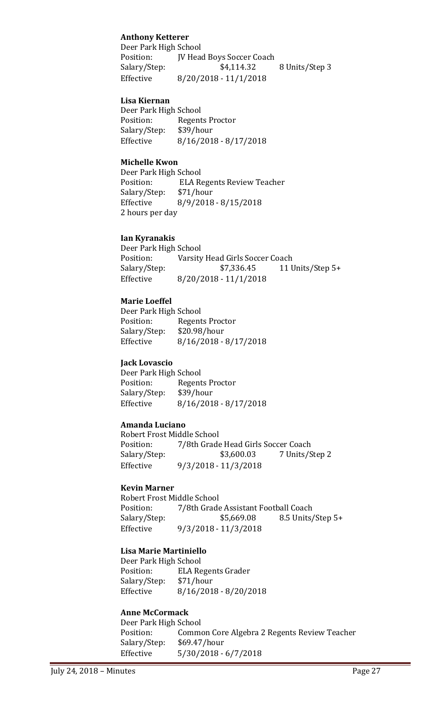## **Anthony Ketterer**

Deer Park High School<br>Position: [V Head Position: JV Head Boys Soccer Coach<br>Salary/Step: \$4,114.32 8 Units/Step 3 Effective 8/20/2018 - 11/1/2018

#### **Lisa Kiernan**

Deer Park High School<br>Position: Regent Regents Proctor<br>\$39/hour Salary/Step:<br>Effective  $8/16/2018 - 8/17/2018$ 

#### **Michelle Kwon**

Deer Park High School<br>Position: ELA R ELA Regents Review Teacher<br>\$71/hour Salary/Step:<br>Effective Effective 8/9/2018 - 8/15/2018 2 hours per day

#### **Ian Kyranakis**

Deer Park High School<br>Position: Varsity Position: Varsity Head Girls Soccer Coach<br>Salary/Step: \$7,336.45 11 U 11 Units/Step 5+ Effective 8/20/2018 - 11/1/2018

## **Marie Loeffel**

Deer Park High School<br>Position: Regent Regents Proctor<br>\$20.98/hour Salary/Step:<br>Effective  $8/16/2018 - 8/17/2018$ 

## **Jack Lovascio**

Deer Park High School<br>Position: Regent Regents Proctor<br>\$39/hour Salary/Step: Effective 8/16/2018 - 8/17/2018

## **Amanda Luciano**

Robert Frost Middle School<br>Position: 7/8th Grade Position: 7/8th Grade Head Girls Soccer Coach<br>Salary/Step: \$3,600.03 7 Units/S 7 Units/Step 2 Effective 9/3/2018 - 11/3/2018

#### **Kevin Marner**

Robert Frost Middle School<br>Position: 7/8th Grade Position: 7/8th Grade Assistant Football Coach<br>Salary/Step: \$5,669.08 8.5 Units 8.5 Units/Step 5+ Effective 9/3/2018 - 11/3/2018

#### **Lisa Marie Martiniello**

Deer Park High School<br>Position: ELA Re ELA Regents Grader<br>\$71/hour Salary/Step:<br>Effective  $8/16/2018 - 8/20/2018$ 

## **Anne McCormack**

Deer Park High School<br>Position: Commo Common Core Algebra 2 Regents Review Teacher<br>\$69.47/hour Salary/Step:<br>Effective  $5/30/2018 - 6/7/2018$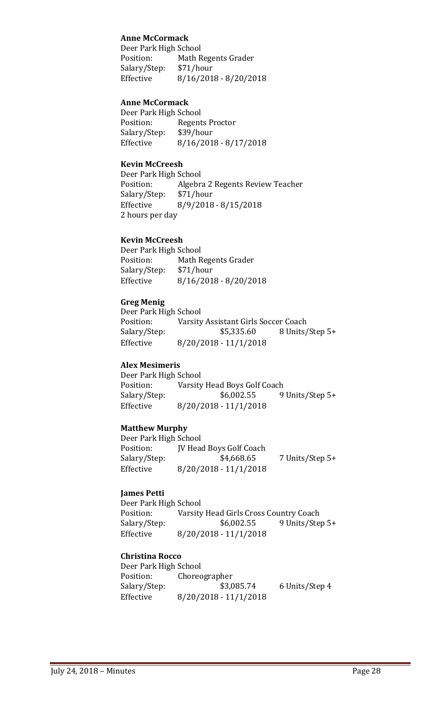## **Anne McCormack**

Deer Park High School<br>Position: Math R Math Regents Grader Salary/Step: \$71/hour Effective 8/16/2018 - 8/20/2018

## **Anne McCormack**

Deer Park High School<br>Position: Regent Regents Proctor<br>\$39/hour Salary/Step:<br>Effective Effective 8/16/2018 - 8/17/2018

## **Kevin McCreesh**

Deer Park High School<br>Position: Algebra Algebra 2 Regents Review Teacher<br>\$71/hour Salary/Step:<br>Effective Effective 8/9/2018 - 8/15/2018 2 hours per day

## **Kevin McCreesh**

Deer Park High School<br>Position: Math R Math Regents Grader<br>\$71/hour Salary/Step:<br>Effective  $8/16/2018 - 8/20/2018$ 

## **Greg Menig**

Deer Park High School<br>Position: Varsity Position: Varsity Assistant Girls Soccer Coach<br>Salary/Step: \$5,335.60 8 Units/ 8 Units/Step 5+ Effective 8/20/2018 - 11/1/2018

## **Alex Mesimeris**

Deer Park High School<br>Position: Varsity Position: Varsity Head Boys Golf Coach<br>Salary/Step: \$6,002.55 9 9 Units/Step 5+ Effective 8/20/2018 - 11/1/2018

## **Matthew Murphy**

Deer Park High School Position: JV Head Boys Golf Coach<br>Salary/Step: \$4,668.65 7 Units/Step 5+ Effective 8/20/2018 - 11/1/2018

#### **James Petti**

Deer Park High School<br>Position: Varsity Position: Varsity Head Girls Cross Country Coach<br>Salary/Step: \$6,002.55 9 Units/Ste 9 Units/Step 5+ Effective 8/20/2018 - 11/1/2018

#### **Christina Rocco**

Deer Park High School<br>Position: Choreo Position: Choreographer<br>Salary/Step: \$3,085.74 6 Units/Step 4 Effective 8/20/2018 - 11/1/2018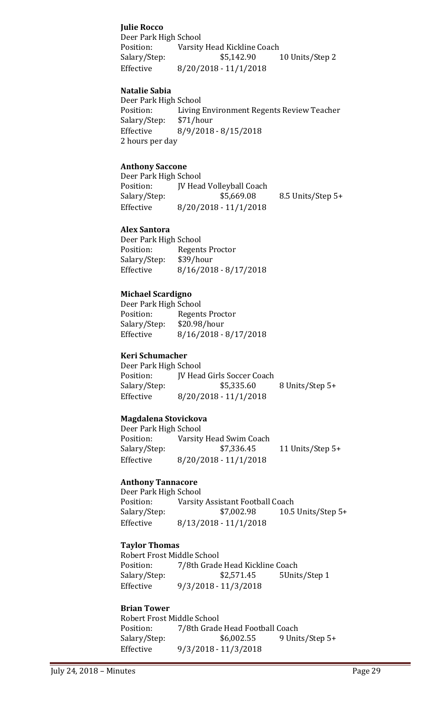## **Julie Rocco**

Deer Park High School<br>Position: Varsity Position: Varsity Head Kickline Coach<br>Salary/Step: \$5,142.90 10 Units/Step 2 Effective 8/20/2018 - 11/1/2018

## **Natalie Sabia**

Deer Park High School<br>Position: Living Living Environment Regents Review Teacher<br>\$71/hour Salary/Step:<br>Effective Effective 8/9/2018 - 8/15/2018 2 hours per day

#### **Anthony Saccone**

Deer Park High School Position: JV Head Volleyball Coach<br>Salary/Step: \$5,669.08 Salary/Step: \$5,669.08 8.5 Units/Step 5+<br>Effective 8/20/2018 - 11/1/2018  $8/20/2018 - 11/1/2018$ 

## **Alex Santora**

Deer Park High School<br>Position: Regent Regents Proctor<br>\$39/hour Salary/Step: Effective 8/16/2018 - 8/17/2018

## **Michael Scardigno**

| Deer Park High School   |  |  |
|-------------------------|--|--|
| <b>Regents Proctor</b>  |  |  |
| \$20.98/hour            |  |  |
| $8/16/2018 - 8/17/2018$ |  |  |
|                         |  |  |

#### **Keri Schumacher**

Deer Park High School<br>Position: [V Head Position: JV Head Girls Soccer Coach<br>Salary/Step: \$5,335.60 Salary/Step: \$5,335.60 8 Units/Step 5+<br>Effective 8/20/2018 - 11/1/2018  $8/20/2018 - 11/1/2018$ 

#### **Magdalena Stovickova**

Deer Park High School Position: Varsity Head Swim Coach<br>Salary/Step: \$7,336.45 11 Units/Step 5+ Effective 8/20/2018 - 11/1/2018

## **Anthony Tannacore**

Deer Park High School<br>Position: Varsity Position: Varsity Assistant Football Coach<br>Salary/Step: \$7,002.98 10.5 10.5 Units/Step  $5+$ Effective 8/13/2018 - 11/1/2018

## **Taylor Thomas**

Robert Frost Middle School<br>Position: 7/8th Grade Position: 7/8th Grade Head Kickline Coach<br>Salary/Step: \$2,571.45 5Unit Salary/Step: \$2,571.45 5Units/Step 1<br>Effective 9/3/2018 - 11/3/2018 Effective 9/3/2018 - 11/3/2018

#### **Brian Tower**

Robert Frost Middle School<br>Position: 7/8th Grade Position: 7/8th Grade Head Football Coach<br>Salary/Step: \$6,002.55 9 Unit 9 Units/Step 5+ Effective 9/3/2018 - 11/3/2018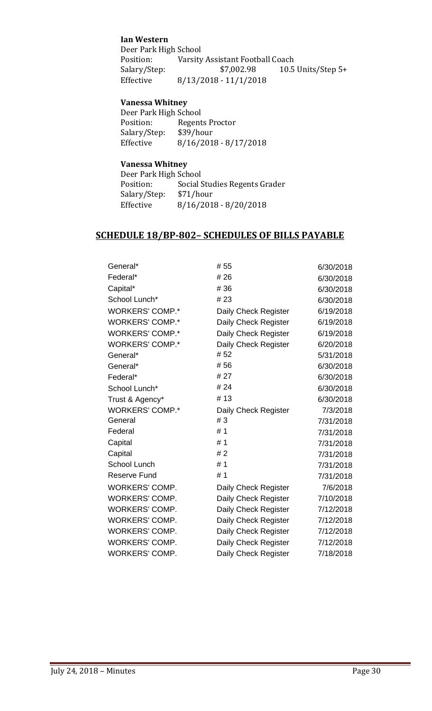## **Ian Western**

Deer Park High School<br>Position: Varsity Position: Varsity Assistant Football Coach<br>Salary/Step: \$7,002.98 10.5 Salary/Step: \$7,002.98 10.5 Units/Step 5+<br>Effective 8/13/2018 - 11/1/2018 Effective 8/13/2018 - 11/1/2018

## **Vanessa Whitney**

| Deer Park High School |                         |  |
|-----------------------|-------------------------|--|
| Position:             | Regents Proctor         |  |
| Salary/Step:          | \$39/hour               |  |
| Effective             | $8/16/2018 - 8/17/2018$ |  |

## **Vanessa Whitney**

| Deer Park High School |                               |
|-----------------------|-------------------------------|
| Position:             | Social Studies Regents Grader |
| Salary/Step:          | \$71/hour                     |
| Effective             | $8/16/2018 - 8/20/2018$       |
|                       |                               |

# **SCHEDULE 18/BP-802– SCHEDULES OF BILLS PAYABLE**

| General*               | #55                  | 6/30/2018 |
|------------------------|----------------------|-----------|
| Federal*               | #26                  | 6/30/2018 |
| Capital*               | #36                  | 6/30/2018 |
| School Lunch*          | #23                  | 6/30/2018 |
| <b>WORKERS' COMP.*</b> | Daily Check Register | 6/19/2018 |
| <b>WORKERS' COMP.*</b> | Daily Check Register | 6/19/2018 |
| <b>WORKERS' COMP.*</b> | Daily Check Register | 6/19/2018 |
| <b>WORKERS' COMP.*</b> | Daily Check Register | 6/20/2018 |
| General*               | #52                  | 5/31/2018 |
| General*               | #56                  | 6/30/2018 |
| Federal*               | # 27                 | 6/30/2018 |
| School Lunch*          | #24                  | 6/30/2018 |
| Trust & Agency*        | #13                  | 6/30/2018 |
| <b>WORKERS' COMP.*</b> | Daily Check Register | 7/3/2018  |
| General                | #3                   | 7/31/2018 |
| Federal                | #1                   | 7/31/2018 |
| Capital                | #1                   | 7/31/2018 |
| Capital                | #2                   | 7/31/2018 |
| School Lunch           | #1                   | 7/31/2018 |
| <b>Reserve Fund</b>    | #1                   | 7/31/2018 |
| <b>WORKERS' COMP.</b>  | Daily Check Register | 7/6/2018  |
| <b>WORKERS' COMP.</b>  | Daily Check Register | 7/10/2018 |
| <b>WORKERS' COMP.</b>  | Daily Check Register | 7/12/2018 |
| <b>WORKERS' COMP.</b>  | Daily Check Register | 7/12/2018 |
| <b>WORKERS' COMP.</b>  | Daily Check Register | 7/12/2018 |
| <b>WORKERS' COMP.</b>  | Daily Check Register | 7/12/2018 |
| <b>WORKERS' COMP.</b>  | Daily Check Register | 7/18/2018 |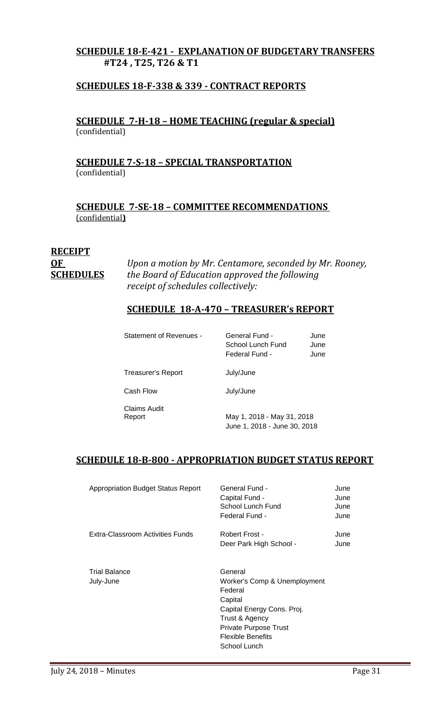# **SCHEDULE 18-E-421 - EXPLANATION OF BUDGETARY TRANSFERS #T24 , T25, T26 & T1**

# **SCHEDULES 18-F-338 & 339 - CONTRACT REPORTS**

**SCHEDULE 7-H-18 – HOME TEACHING (regular & special)** (confidential)

# **SCHEDULE 7-S-18 – SPECIAL TRANSPORTATION**  (confidential)

**SCHEDULE 7-SE-18 – COMMITTEE RECOMMENDATIONS**  (confidential**)**

# **RECEIPT**

**OF** *Upon a motion by Mr. Centamore, seconded by Mr. Rooney,* **SCHEDULES** *the Board of Education approved the following receipt of schedules collectively:*

# **SCHEDULE 18-A-470 – TREASURER's REPORT**

| Statement of Revenues -   | General Fund -<br>School Lunch Fund<br>Federal Fund - | June<br>June<br>June |
|---------------------------|-------------------------------------------------------|----------------------|
| <b>Treasurer's Report</b> | July/June                                             |                      |
| Cash Flow                 | July/June                                             |                      |

Claims Audit

May 1, 2018 - May 31, 2018 June 1, 2018 - June 30, 2018

# **SCHEDULE 18-B-800 - APPROPRIATION BUDGET STATUS REPORT**

| <b>Appropriation Budget Status Report</b> | General Fund -<br>Capital Fund -<br>School Lunch Fund<br>Federal Fund -                                                                                                                   | June<br>June<br>June<br>June |
|-------------------------------------------|-------------------------------------------------------------------------------------------------------------------------------------------------------------------------------------------|------------------------------|
| Extra-Classroom Activities Funds          | Robert Frost -<br>Deer Park High School -                                                                                                                                                 | June<br>June                 |
| <b>Trial Balance</b><br>July-June         | General<br>Worker's Comp & Unemployment<br>Federal<br>Capital<br>Capital Energy Cons. Proj.<br>Trust & Agency<br><b>Private Purpose Trust</b><br><b>Flexible Benefits</b><br>School Lunch |                              |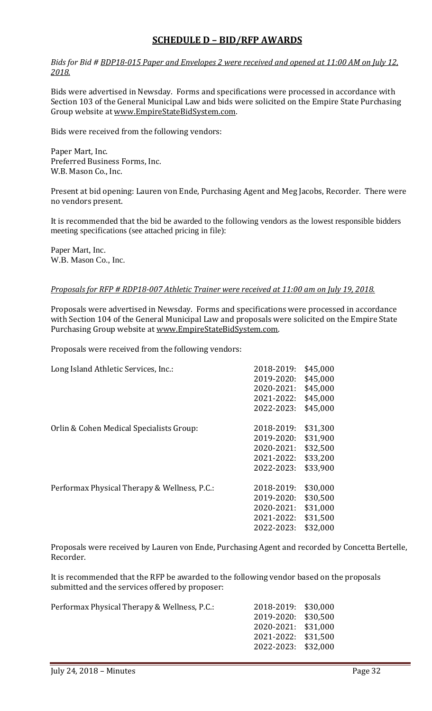# **SCHEDULE D – BID/RFP AWARDS**

*Bids for Bid # BDP18-015 Paper and Envelopes 2 were received and opened at 11:00 AM on July 12, 2018.*

Bids were advertised in Newsday. Forms and specifications were processed in accordance with Section 103 of the General Municipal Law and bids were solicited on the Empire State Purchasing Group website at [www.EmpireStateBidSystem.com.](http://www.empirestatebidsystem.com/) 

Bids were received from the following vendors:

Paper Mart, Inc. Preferred Business Forms, Inc. W.B. Mason Co., Inc.

Present at bid opening: Lauren von Ende, Purchasing Agent and Meg Jacobs, Recorder. There were no vendors present.

It is recommended that the bid be awarded to the following vendors as the lowest responsible bidders meeting specifications (see attached pricing in file):

Paper Mart, Inc. W.B. Mason Co., Inc.

#### *Proposals for RFP # RDP18-007 Athletic Trainer were received at 11:00 am on July 19, 2018.*

Proposals were advertised in Newsday. Forms and specifications were processed in accordance with Section 104 of the General Municipal Law and proposals were solicited on the Empire State Purchasing Group website at [www.EmpireStateBidSystem.com.](http://www.empirestatebidsystem.com/)

Proposals were received from the following vendors:

| Long Island Athletic Services, Inc.:         | 2018-2019: | \$45,000 |
|----------------------------------------------|------------|----------|
|                                              | 2019-2020: | \$45,000 |
|                                              | 2020-2021: | \$45,000 |
|                                              | 2021-2022: | \$45,000 |
|                                              | 2022-2023: | \$45,000 |
| Orlin & Cohen Medical Specialists Group:     | 2018-2019: | \$31,300 |
|                                              | 2019-2020: | \$31,900 |
|                                              | 2020-2021: | \$32,500 |
|                                              |            |          |
|                                              | 2021-2022: | \$33,200 |
|                                              | 2022-2023: | \$33,900 |
| Performax Physical Therapy & Wellness, P.C.: | 2018-2019: | \$30,000 |
|                                              | 2019-2020: | \$30,500 |
|                                              | 2020-2021: | \$31,000 |
|                                              | 2021-2022: | \$31,500 |
|                                              | 2022-2023: | \$32,000 |
|                                              |            |          |

Proposals were received by Lauren von Ende, Purchasing Agent and recorded by Concetta Bertelle, Recorder.

It is recommended that the RFP be awarded to the following vendor based on the proposals submitted and the services offered by proposer:

Performax Physical Therapy & Wellness, P.C.:

| 2018-2019: | \$30,000 |
|------------|----------|
| 2019-2020: | \$30,500 |
| 2020-2021: | \$31,000 |
| 2021-2022: | \$31,500 |
| 2022-2023: | \$32,000 |
|            |          |